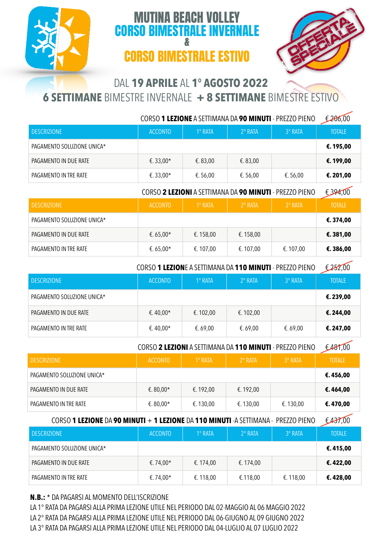## MUTINA BEACH VOLLEY CORSO BIMESTRALE INVERNALE CORSO BIMESTRALE ESTIVO



## DAL **19 APRILE** AL **1° AGOSTO 2O22**

&

**6 SETTIMANE** BIMESTRE INVERNALE **+ 8 SETTIMANE** BIMESTRE ESTIVO

|                            | CORSO 1 LEZIONE A SETTIMANA DA 90 MINUTI - PREZZO PIENO |                |                  |                | £206,00       |
|----------------------------|---------------------------------------------------------|----------------|------------------|----------------|---------------|
| <b>DESCRIZIONE</b>         | <b>ACCONTO</b>                                          | $1^\circ$ RATA | $2^{\circ}$ RATA | $3^\circ$ RATA | <b>TOTALE</b> |
| PAGAMENTO SOLUZIONE UNICA* |                                                         |                |                  |                | €.195,00      |
| PAGAMENTO IN DUE RATE      | €. 33,00*                                               | €.83,00        | €.83,00          |                | €.199,00      |
| PAGAMENTO IN TRE RATE      | €.33.00*                                                | €. 56,00       | €.56,00          | €. 56,00       | €.201,00      |

CORSO **2 LEZIONI** A SETTIMANA DA **90 MINUTI** - PREZZO PIENO € 394,00

| <b>DESCRIZIONE</b>         | <b>ACCONTO</b> | $1^\circ$ RATA | $2^{\circ}$ RATA | 3° RATA  | <b>TOTALE</b> |
|----------------------------|----------------|----------------|------------------|----------|---------------|
| PAGAMENTO SOLUZIONE UNICA* |                |                |                  |          | €.374,00      |
| PAGAMENTO IN DUE RATE      | €.65.00*       | €.158,00       | €. 158,00        |          | €.381,00      |
| PAGAMENTO IN TRE RATE      | €. 65,00*      | €. 107,00      | €. 107,00        | €.107,00 | €.386,00      |

CORSO **1 LEZION**E A SETTIMANA DA **110 MINUTI** - PREZZO PIENO € 252,00

| <b>DESCRIZIONE</b>         | <b>ACCONTO</b> | $1^\circ$ RATA | $2^\circ$ RATA | $3^\circ$ RATA | <b>TOTALE</b> |
|----------------------------|----------------|----------------|----------------|----------------|---------------|
| PAGAMENTO SOLUZIONE UNICA* |                |                |                |                | €.239,00      |
| PAGAMENTO IN DUE RATE      | €.40,00*       | €. 102,00      | €. 102,00      |                | €.244,00      |
| PAGAMENTO IN TRE RATE      | €.40,00*       | €.69,00        | €.69,00        | €.69,00        | €. 247,00     |

CORSO **2 LEZIONI** A SETTIMANA DA **110 MINUTI** - PREZZO PIENO € 481,00

| <b>DESCRIZIONE</b>         | <b>ACCONTO</b> | $1^\circ$ RATA | $2^{\circ}$ RATA | $3°$ RATA | <b>TOTALE</b> |
|----------------------------|----------------|----------------|------------------|-----------|---------------|
| PAGAMENTO SOLUZIONE UNICA* |                |                |                  |           | €.456,00      |
| PAGAMENTO IN DUE RATE      | €.80,00*       | €. 192,00      | €. 192,00        |           | €.464,00      |
| PAGAMENTO IN TRE RATE      | €. 80,00*      | €. 130,00      | €. 130,00        | €. 130,00 | €.470,00      |

CORSO **1 LEZIONE** DA **90 MINUTI** + **1 LEZIONE** DA **110 MINUTI** -A SETTIMANA - PREZZO PIENO € 437,00

| <b>DESCRIZIONE</b>         | <b>ACCONTO</b> | 1º RATA   | $2^{\circ}$ RATA | 3° RATA  | $\tilde{\phantom{a}}$<br><b>TOTALE</b> |
|----------------------------|----------------|-----------|------------------|----------|----------------------------------------|
| PAGAMENTO SOLUZIONE UNICA* |                |           |                  |          | €.415,00                               |
| PAGAMENTO IN DUE RATE      | €.74,00*       | €. 174,00 | €. 174,00        |          | €.422,00                               |
| PAGAMENTO IN TRE RATE      | €.74,00*       | €.118,00  | €.118,00         | €.118,00 | €.428,00                               |

**N.B.:** \* DA PAGARSI AL MOMENTO DELL'ISCRIZIONE

LA 1° RATA DA PAGARSI ALLA PRIMA LEZIONE UTILE NEL PERIODO DAL 02-MAGGIO AL 06 MAGGIO 2022 LA 2° RATA DA PAGARSI ALLA PRIMA LEZIONE UTILE NEL PERIODO DAL 06-GIUGNO AL 09 GIUGNO 2022 LA 3° RATA DA PAGARSI ALLA PRIMA LEZIONE UTILE NEL PERIODO DAL 04-LUGLIO AL 07 LUGLIO 2022